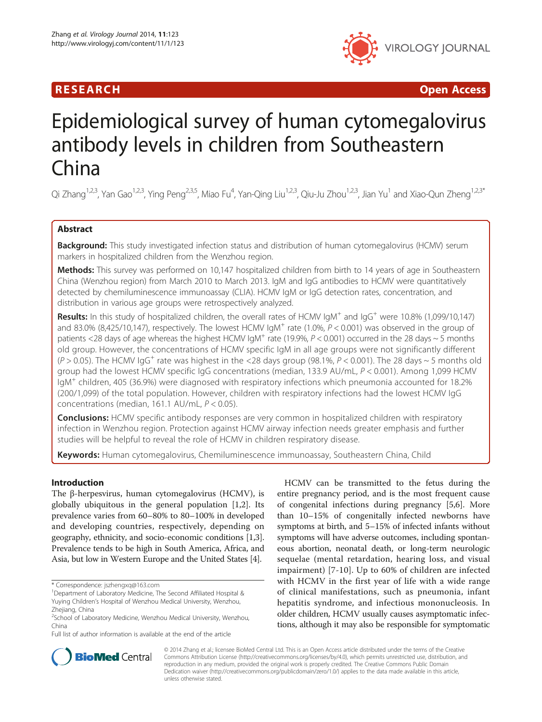## R E S EAR CH Open Access



# Epidemiological survey of human cytomegalovirus antibody levels in children from Southeastern China

Qi Zhang<sup>1,2,3</sup>, Yan Gao<sup>1,2,3</sup>, Ying Peng<sup>2,3,5</sup>, Miao Fu<sup>4</sup>, Yan-Qing Liu<sup>1,2,3</sup>, Qiu-Ju Zhou<sup>1,2,3</sup>, Jian Yu<sup>1</sup> and Xiao-Qun Zheng<sup>1,2,3\*</sup>

## Abstract

Background: This study investigated infection status and distribution of human cytomegalovirus (HCMV) serum markers in hospitalized children from the Wenzhou region.

Methods: This survey was performed on 10,147 hospitalized children from birth to 14 years of age in Southeastern China (Wenzhou region) from March 2010 to March 2013. IgM and IgG antibodies to HCMV were quantitatively detected by chemiluminescence immunoassay (CLIA). HCMV IgM or IgG detection rates, concentration, and distribution in various age groups were retrospectively analyzed.

Results: In this study of hospitalized children, the overall rates of HCMV IgM<sup>+</sup> and IgG<sup>+</sup> were 10.8% (1,099/10,147) and 83.0% (8,425/10,147), respectively. The lowest HCMV  $IgM^+$  rate (1.0%,  $P < 0.001$ ) was observed in the group of patients <28 days of age whereas the highest HCMV IgM<sup>+</sup> rate (19.9%,  $P$  < 0.001) occurred in the 28 days  $\sim$  5 months old group. However, the concentrations of HCMV specific IgM in all age groups were not significantly different  $(P > 0.05)$ . The HCMV IgG<sup>+</sup> rate was highest in the <28 days group (98.1%, P < 0.001). The 28 days ~ 5 months old group had the lowest HCMV specific IgG concentrations (median, 133.9 AU/mL, P < 0.001). Among 1,099 HCMV IgM<sup>+</sup> children, 405 (36.9%) were diagnosed with respiratory infections which pneumonia accounted for 18.2% (200/1,099) of the total population. However, children with respiratory infections had the lowest HCMV IgG concentrations (median, 161.1 AU/mL, P < 0.05).

**Conclusions:** HCMV specific antibody responses are very common in hospitalized children with respiratory infection in Wenzhou region. Protection against HCMV airway infection needs greater emphasis and further studies will be helpful to reveal the role of HCMV in children respiratory disease.

Keywords: Human cytomegalovirus, Chemiluminescence immunoassay, Southeastern China, Child

## Introduction

The β-herpesvirus, human cytomegalovirus (HCMV), is globally ubiquitous in the general population [\[1,2](#page-4-0)]. Its prevalence varies from 60–80% to 80–100% in developed and developing countries, respectively, depending on geography, ethnicity, and socio-economic conditions [[1](#page-4-0),[3](#page-4-0)]. Prevalence tends to be high in South America, Africa, and Asia, but low in Western Europe and the United States [\[4\]](#page-4-0).

Full list of author information is available at the end of the article

HCMV can be transmitted to the fetus during the entire pregnancy period, and is the most frequent cause of congenital infections during pregnancy [[5,6\]](#page-4-0). More than 10–15% of congenitally infected newborns have symptoms at birth, and 5–15% of infected infants without symptoms will have adverse outcomes, including spontaneous abortion, neonatal death, or long-term neurologic sequelae (mental retardation, hearing loss, and visual impairment) [[7](#page-4-0)-[10](#page-4-0)]. Up to 60% of children are infected with HCMV in the first year of life with a wide range of clinical manifestations, such as pneumonia, infant hepatitis syndrome, and infectious mononucleosis. In older children, HCMV usually causes asymptomatic infections, although it may also be responsible for symptomatic



© 2014 Zhang et al.; licensee BioMed Central Ltd. This is an Open Access article distributed under the terms of the Creative Commons Attribution License [\(http://creativecommons.org/licenses/by/4.0\)](http://creativecommons.org/licenses/by/4.0), which permits unrestricted use, distribution, and reproduction in any medium, provided the original work is properly credited. The Creative Commons Public Domain Dedication waiver [\(http://creativecommons.org/publicdomain/zero/1.0/](http://creativecommons.org/publicdomain/zero/1.0/)) applies to the data made available in this article, unless otherwise stated.

<sup>\*</sup> Correspondence: [jszhengxq@163.com](mailto:jszhengxq@163.com) <sup>1</sup>

<sup>&</sup>lt;sup>1</sup>Department of Laboratory Medicine, The Second Affiliated Hospital & Yuying Children's Hospital of Wenzhou Medical University, Wenzhou, Zhejiang, China

<sup>2</sup> School of Laboratory Medicine, Wenzhou Medical University, Wenzhou, China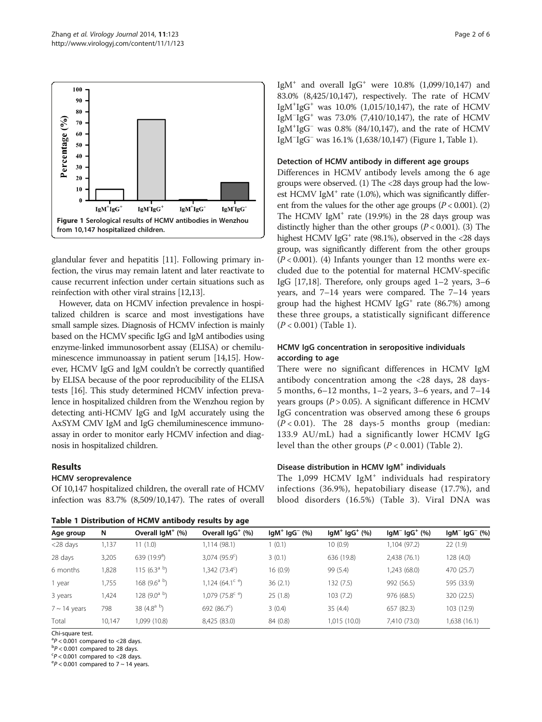<span id="page-1-0"></span>

glandular fever and hepatitis [[11](#page-4-0)]. Following primary infection, the virus may remain latent and later reactivate to cause recurrent infection under certain situations such as reinfection with other viral strains [[12](#page-4-0)[,13\]](#page-5-0).

However, data on HCMV infection prevalence in hospitalized children is scarce and most investigations have small sample sizes. Diagnosis of HCMV infection is mainly based on the HCMV specific IgG and IgM antibodies using enzyme-linked immunosorbent assay (ELISA) or chemiluminescence immunoassay in patient serum [\[14,15](#page-5-0)]. However, HCMV IgG and IgM couldn't be correctly quantified by ELISA because of the poor reproducibility of the ELISA tests [\[16\]](#page-5-0). This study determined HCMV infection prevalence in hospitalized children from the Wenzhou region by detecting anti-HCMV IgG and IgM accurately using the AxSYM CMV IgM and IgG chemiluminescence immunoassay in order to monitor early HCMV infection and diagnosis in hospitalized children.

## Results

#### HCMV seroprevalence

Of 10,147 hospitalized children, the overall rate of HCMV infection was 83.7% (8,509/10,147). The rates of overall

Table 1 Distribution of HCMV antibody results by age

IgM<sup>+</sup> and overall IgG<sup>+</sup> were  $10.8\%$  (1,099/10,147) and 83.0% (8,425/10,147), respectively. The rate of HCMV IgM+ IgG+ was 10.0% (1,015/10,147), the rate of HCMV IgM<sup>−</sup> IgG+ was 73.0% (7,410/10,147), the rate of HCMV IgM+ IgG<sup>−</sup> was 0.8% (84/10,147), and the rate of HCMV IgM<sup>−</sup> IgG<sup>−</sup> was 16.1% (1,638/10,147) (Figure 1, Table 1).

#### Detection of HCMV antibody in different age groups

Differences in HCMV antibody levels among the 6 age groups were observed. (1) The <28 days group had the lowest HCMV IgM<sup>+</sup> rate (1.0%), which was significantly different from the values for the other age groups  $(P < 0.001)$ . (2) The HCMV IgM<sup>+</sup> rate (19.9%) in the 28 days group was distinctly higher than the other groups  $(P < 0.001)$ . (3) The highest HCMV IgG<sup>+</sup> rate (98.1%), observed in the <28 days group, was significantly different from the other groups  $(P < 0.001)$ . (4) Infants younger than 12 months were excluded due to the potential for maternal HCMV-specific IgG [[17,18](#page-5-0)]. Therefore, only groups aged 1–2 years, 3–6 years, and 7–14 years were compared. The 7–14 years group had the highest HCMV IgG<sup>+</sup> rate  $(86.7%)$  among these three groups, a statistically significant difference  $(P < 0.001)$  (Table 1).

## HCMV IgG concentration in seropositive individuals according to age

There were no significant differences in HCMV IgM antibody concentration among the <28 days, 28 days-5 months, 6–12 months, 1–2 years, 3–6 years, and 7–14 years groups  $(P > 0.05)$ . A significant difference in HCMV IgG concentration was observed among these 6 groups  $(P < 0.01)$ . The 28 days-5 months group (median: 133.9 AU/mL) had a significantly lower HCMV IgG level than the other groups  $(P < 0.001)$  (Table [2\)](#page-2-0).

## Disease distribution in HCMV IgM<sup>+</sup> individuals

The  $1,099$  HCMV IgM<sup>+</sup> individuals had respiratory infections (36.9%), hepatobiliary disease (17.7%), and blood disorders (16.5%) (Table [3\)](#page-2-0). Viral DNA was

| Table I Distribution of Henry antibouy results by age |        |                           |                                      |                         |                         |                  |                  |
|-------------------------------------------------------|--------|---------------------------|--------------------------------------|-------------------------|-------------------------|------------------|------------------|
| Age group                                             | N      | Overall $IqM^+$ (%)       | Overall $lgG^+(%)$                   | $lgM^{+}$ $lgG^{-}$ (%) | $lgM^{+}$ $lgG^{+}$ (%) | $lgM^ lgG^+$ (%) | $lgM^ lgG^-$ (%) |
| $<$ 28 days                                           | 1,137  | 11(1.0)                   | 1,114 (98.1)                         | 1(0.1)                  | 10(0.9)                 | 1,104 (97.2)     | 22(1.9)          |
| 28 days                                               | 3,205  | 639 $(19.9a)$             | $3,074$ (95.9 <sup>c</sup> )         | 3(0.1)                  | 636 (19.8)              | 2,438 (76.1)     | 128(4.0)         |
| 6 months                                              | 1,828  | 115 (6.3 <sup>a b</sup> ) | 1,342 (73.4 <sup>c</sup> )           | 16(0.9)                 | 99 (5.4)                | 1,243 (68.0)     | 470 (25.7)       |
| 1 year                                                | 1,755  | 168 (9.6 <sup>a b</sup> ) | 1,124 $(64.1^{\circ}$ <sup>e</sup> ) | 36(2.1)                 | 132 (7.5)               | 992 (56.5)       | 595 (33.9)       |
| 3 years                                               | 1,424  | 128 (9.0 <sup>a b</sup> ) | 1,079 (75.8 <sup>c e</sup> )         | 25(1.8)                 | 103(7.2)                | 976 (68.5)       | 320 (22.5)       |
| $7 \sim 14$ years                                     | 798    | 38 $(4.8a b)$             | 692 $(86.7^{\circ})$                 | 3(0.4)                  | 35(4.4)                 | 657 (82.3)       | 103 (12.9)       |
| Total                                                 | 10.147 | 1,099 (10.8)              | 8,425 (83.0)                         | 84 (0.8)                | 1,015 (10.0)            | 7,410 (73.0)     | 1,638 (16.1)     |

Chi-square test.

 $\binom{ap}{b}$  < 0.001 compared to <28 days.<br> $\binom{bp}{c}$  0.001 compared to 28 days.

 $\rm ^{b}P$  < 0.001 compared to 28 days.

 $\degree$ P < 0.001 compared to <28 days.

 $\mathrm{P}$  < 0.001 compared to 7 ~ 14 years.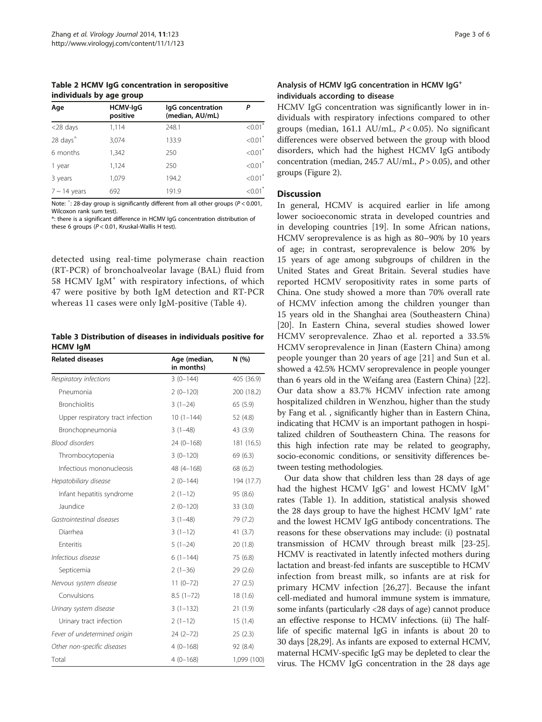<span id="page-2-0"></span>Table 2 HCMV IgG concentration in seropositive individuals by age group

| Age                  | <b>HCMV-IgG</b><br>positive | lgG concentration<br>(median, AU/mL) | Ρ                     |
|----------------------|-----------------------------|--------------------------------------|-----------------------|
| $<$ 28 days          | 1,114                       | 248.1                                | $< 0.01$ <sup>*</sup> |
| 28 days <sup>4</sup> | 3,074                       | 133.9                                | $< 0.01$ <sup>*</sup> |
| 6 months             | 1,342                       | 250                                  | $< 0.01$ <sup>*</sup> |
| 1 year               | 1,124                       | 250                                  | $< 0.01$ <sup>*</sup> |
| 3 years              | 1,079                       | 194.2                                | $< 0.01$ <sup>*</sup> |
| $7 \sim 14$ years    | 692                         | 191.9                                | $< 0.01$ <sup>*</sup> |

Note:  $\hat{ }$ : 28-day group is significantly different from all other groups (P < 0.001,<br>Wilcoxon rank sum test) Wilcoxon rank sum test).

\*: there is a significant difference in HCMV IgG concentration distribution of these 6 groups ( $P < 0.01$ , Kruskal-Wallis H test).

detected using real-time polymerase chain reaction (RT-PCR) of bronchoalveolar lavage (BAL) fluid from 58 HCMV IgM<sup>+</sup> with respiratory infections, of which 47 were positive by both IgM detection and RT-PCR whereas 11 cases were only IgM-positive (Table [4\)](#page-3-0).

Table 3 Distribution of diseases in individuals positive for HCMV IgM

| <b>Related diseases</b>           | Age (median,<br>in months) | N(%)        |  |
|-----------------------------------|----------------------------|-------------|--|
| Respiratory infections            | $3(0-144)$                 | 405 (36.9)  |  |
| Pneumonia                         | $2(0-120)$                 | 200 (18.2)  |  |
| <b>Bronchiolitis</b>              | $3(1-24)$                  | 65 (5.9)    |  |
| Upper respiratory tract infection | $10(1-144)$                | 52 (4.8)    |  |
| Bronchopneumonia                  | $3(1-48)$                  | 43 (3.9)    |  |
| <b>Blood disorders</b>            | $24(0-168)$                | 181 (16.5)  |  |
| Thrombocytopenia                  | $3(0-120)$                 | 69 (6.3)    |  |
| Infectious mononucleosis          | 48 (4-168)                 | 68 (6.2)    |  |
| Hepatobiliary disease             | $2(0-144)$                 | 194 (17.7)  |  |
| Infant hepatitis syndrome         | $2(1-12)$                  | 95 (8.6)    |  |
| Jaundice                          | $2(0-120)$                 | 33(3.0)     |  |
| Gastrointestinal diseases         | $3(1-48)$                  | 79 (7.2)    |  |
| Diarrhea                          | $3(1-12)$                  | 41(3.7)     |  |
| Enteritis                         | $5(1-24)$                  | 20(1.8)     |  |
| Infectious disease                | $6(1-144)$                 | 75 (6.8)    |  |
| Septicemia                        | $2(1-36)$                  | 29(2.6)     |  |
| Nervous system disease            | $11(0-72)$                 | 27(2.5)     |  |
| Convulsions                       | $8.5(1-72)$                | 18(1.6)     |  |
| Urinary system disease            | $3(1-132)$                 | 21(1.9)     |  |
| Urinary tract infection           | $2(1-12)$                  | 15(1.4)     |  |
| Fever of undetermined origin      | $24(2-72)$                 | 25(2.3)     |  |
| Other non-specific diseases       | $4(0-168)$                 | 92 (8.4)    |  |
| Total                             | $4(0-168)$                 | 1,099 (100) |  |

#### Analysis of HCMV IgG concentration in HCMV IgG<sup>+</sup> individuals according to disease

HCMV IgG concentration was significantly lower in individuals with respiratory infections compared to other groups (median, 161.1 AU/mL,  $P < 0.05$ ). No significant differences were observed between the group with blood disorders, which had the highest HCMV IgG antibody concentration (median, 245.7 AU/mL,  $P > 0.05$ ), and other groups (Figure [2](#page-3-0)).

#### **Discussion**

In general, HCMV is acquired earlier in life among lower socioeconomic strata in developed countries and in developing countries [[19\]](#page-5-0). In some African nations, HCMV seroprevalence is as high as 80–90% by 10 years of age; in contrast, seroprevalence is below 20% by 15 years of age among subgroups of children in the United States and Great Britain. Several studies have reported HCMV seropositivity rates in some parts of China. One study showed a more than 70% overall rate of HCMV infection among the children younger than 15 years old in the Shanghai area (Southeastern China) [[20\]](#page-5-0). In Eastern China, several studies showed lower HCMV seroprevalence. Zhao et al. reported a 33.5% HCMV seroprevalence in Jinan (Eastern China) among people younger than 20 years of age [[21](#page-5-0)] and Sun et al. showed a 42.5% HCMV seroprevalence in people younger than 6 years old in the Weifang area (Eastern China) [[22](#page-5-0)]. Our data show a 83.7% HCMV infection rate among hospitalized children in Wenzhou, higher than the study by Fang et al. , significantly higher than in Eastern China, indicating that HCMV is an important pathogen in hospitalized children of Southeastern China. The reasons for this high infection rate may be related to geography, socio-economic conditions, or sensitivity differences between testing methodologies.

Our data show that children less than 28 days of age had the highest HCMV IgG<sup>+</sup> and lowest HCMV IgM<sup>+</sup> rates (Table [1](#page-1-0)). In addition, statistical analysis showed the 28 days group to have the highest HCMV IgM $<sup>+</sup>$  rate</sup> and the lowest HCMV IgG antibody concentrations. The reasons for these observations may include: (i) postnatal transmission of HCMV through breast milk [\[23-25](#page-5-0)]. HCMV is reactivated in latently infected mothers during lactation and breast-fed infants are susceptible to HCMV infection from breast milk, so infants are at risk for primary HCMV infection [[26](#page-5-0),[27\]](#page-5-0). Because the infant cell-mediated and humoral immune system is immature, some infants (particularly <28 days of age) cannot produce an effective response to HCMV infections. (ii) The halflife of specific maternal IgG in infants is about 20 to 30 days [\[28,29\]](#page-5-0). As infants are exposed to external HCMV, maternal HCMV-specific IgG may be depleted to clear the virus. The HCMV IgG concentration in the 28 days age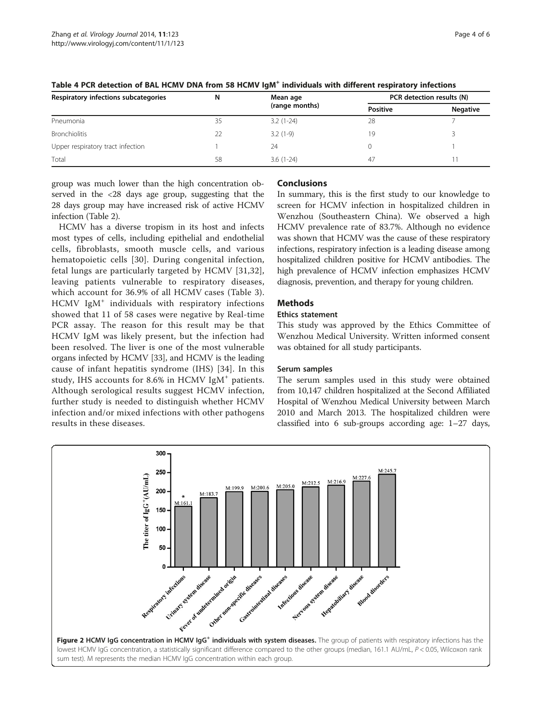| Respiratory infections subcategories | N  | Mean age       | PCR detection results (N) |                 |
|--------------------------------------|----|----------------|---------------------------|-----------------|
|                                      |    | (range months) | <b>Positive</b>           | <b>Negative</b> |
| Pneumonia                            | 35 | $3.2(1-24)$    | 28                        |                 |
| <b>Bronchiolitis</b>                 | 22 | $3.2(1-9)$     | 19                        |                 |
| Upper respiratory tract infection    |    | 24             |                           |                 |
| Total                                | 58 | $3.6(1-24)$    | 47                        |                 |

<span id="page-3-0"></span>Table 4 PCR detection of BAL HCMV DNA from 58 HCMV IgM<sup>+</sup> individuals with different respiratory infections

group was much lower than the high concentration observed in the <28 days age group, suggesting that the 28 days group may have increased risk of active HCMV infection (Table [2\)](#page-2-0).

HCMV has a diverse tropism in its host and infects most types of cells, including epithelial and endothelial cells, fibroblasts, smooth muscle cells, and various hematopoietic cells [[30](#page-5-0)]. During congenital infection, fetal lungs are particularly targeted by HCMV [\[31,32](#page-5-0)], leaving patients vulnerable to respiratory diseases, which account for 36.9% of all HCMV cases (Table [3](#page-2-0)). HCMV IgM<sup>+</sup> individuals with respiratory infections showed that 11 of 58 cases were negative by Real-time PCR assay. The reason for this result may be that HCMV IgM was likely present, but the infection had been resolved. The liver is one of the most vulnerable organs infected by HCMV [\[33\]](#page-5-0), and HCMV is the leading cause of infant hepatitis syndrome (IHS) [[34](#page-5-0)]. In this study, IHS accounts for 8.6% in HCMV IgM<sup>+</sup> patients. Although serological results suggest HCMV infection, further study is needed to distinguish whether HCMV infection and/or mixed infections with other pathogens results in these diseases.

## Conclusions

In summary, this is the first study to our knowledge to screen for HCMV infection in hospitalized children in Wenzhou (Southeastern China). We observed a high HCMV prevalence rate of 83.7%. Although no evidence was shown that HCMV was the cause of these respiratory infections, respiratory infection is a leading disease among hospitalized children positive for HCMV antibodies. The high prevalence of HCMV infection emphasizes HCMV diagnosis, prevention, and therapy for young children.

## **Methods**

#### Ethics statement

This study was approved by the Ethics Committee of Wenzhou Medical University. Written informed consent was obtained for all study participants.

## Serum samples

The serum samples used in this study were obtained from 10,147 children hospitalized at the Second Affiliated Hospital of Wenzhou Medical University between March 2010 and March 2013. The hospitalized children were classified into 6 sub-groups according age: 1–27 days,

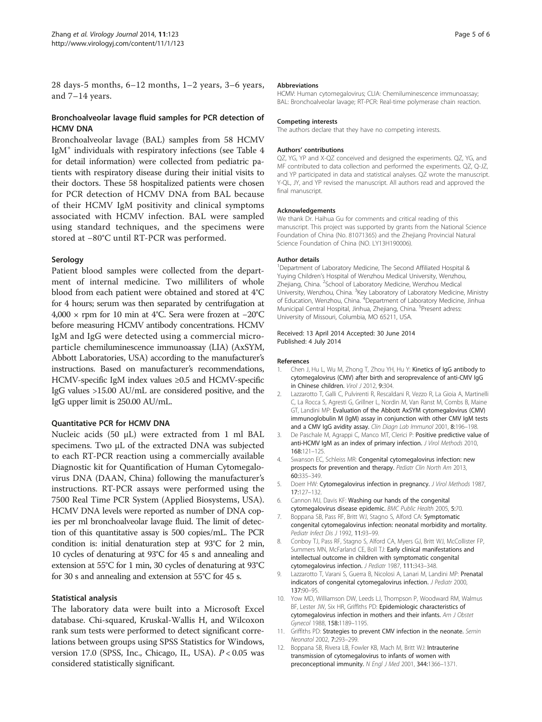<span id="page-4-0"></span>28 days-5 months, 6–12 months, 1–2 years, 3–6 years, and 7–14 years.

## Bronchoalveolar lavage fluid samples for PCR detection of HCMV DNA

Bronchoalveolar lavage (BAL) samples from 58 HCMV IgM<sup>+</sup> individuals with respiratory infections (see Table [4](#page-3-0) for detail information) were collected from pediatric patients with respiratory disease during their initial visits to their doctors. These 58 hospitalized patients were chosen for PCR detection of HCMV DNA from BAL because of their HCMV IgM positivity and clinical symptoms associated with HCMV infection. BAL were sampled using standard techniques, and the specimens were stored at −80°C until RT-PCR was performed.

#### Serology

Patient blood samples were collected from the department of internal medicine. Two milliliters of whole blood from each patient were obtained and stored at 4°C for 4 hours; serum was then separated by centrifugation at 4,000 × rpm for 10 min at 4°C. Sera were frozen at −20°C before measuring HCMV antibody concentrations. HCMV IgM and IgG were detected using a commercial microparticle chemiluminescence immunoassay (LIA) (AxSYM, Abbott Laboratories, USA) according to the manufacturer's instructions. Based on manufacturer's recommendations, HCMV-specific IgM index values ≥0.5 and HCMV-specific IgG values >15.00 AU/mL are considered positive, and the IgG upper limit is 250.00 AU/mL.

#### Quantitative PCR for HCMV DNA

Nucleic acids (50 μL) were extracted from 1 ml BAL specimens. Two μL of the extracted DNA was subjected to each RT-PCR reaction using a commercially available Diagnostic kit for Quantification of Human Cytomegalovirus DNA (DAAN, China) following the manufacturer's instructions. RT-PCR assays were performed using the 7500 Real Time PCR System (Applied Biosystems, USA). HCMV DNA levels were reported as number of DNA copies per ml bronchoalveolar lavage fluid. The limit of detection of this quantitative assay is 500 copies/mL. The PCR condition is: initial denaturation step at 93°C for 2 min, 10 cycles of denaturing at 93°C for 45 s and annealing and extension at 55°C for 1 min, 30 cycles of denaturing at 93°C for 30 s and annealing and extension at 55°C for 45 s.

## Statistical analysis

The laboratory data were built into a Microsoft Excel database. Chi-squared, Kruskal-Wallis H, and Wilcoxon rank sum tests were performed to detect significant correlations between groups using SPSS Statistics for Windows, version 17.0 (SPSS, Inc., Chicago, IL, USA).  $P < 0.05$  was considered statistically significant.

#### Abbreviations

HCMV: Human cytomegalovirus; CLIA: Chemiluminescence immunoassay; BAL: Bronchoalveolar lavage; RT-PCR: Real-time polymerase chain reaction.

#### Competing interests

The authors declare that they have no competing interests.

#### Authors' contributions

QZ, YG, YP and X-QZ conceived and designed the experiments. QZ, YG, and MF contributed to data collection and performed the experiments. QZ, Q-JZ, and YP participated in data and statistical analyses. QZ wrote the manuscript. Y-QL, JY, and YP revised the manuscript. All authors read and approved the final manuscript.

#### Acknowledgements

We thank Dr. Haihua Gu for comments and critical reading of this manuscript. This project was supported by grants from the National Science Foundation of China (No. 81071365) and the Zhejiang Provincial Natural Science Foundation of China (NO. LY13H190006).

#### Author details

<sup>1</sup>Department of Laboratory Medicine, The Second Affiliated Hospital 8 Yuying Children's Hospital of Wenzhou Medical University, Wenzhou, Zhejiang, China. <sup>2</sup>School of Laboratory Medicine, Wenzhou Medical University, Wenzhou, China. <sup>3</sup>Key Laboratory of Laboratory Medicine, Ministry of Education, Wenzhou, China. <sup>4</sup>Department of Laboratory Medicine, Jinhua Municipal Central Hospital, Jinhua, Zhejiang, China. <sup>5</sup>Present adress University of Missouri, Columbia, MO 65211, USA.

#### Received: 13 April 2014 Accepted: 30 June 2014 Published: 4 July 2014

#### References

- 1. Chen J, Hu L, Wu M, Zhong T, Zhou YH, Hu Y: Kinetics of IgG antibody to cytomegalovirus (CMV) after birth and seroprevalence of anti-CMV IgG in Chinese children. Virol J 2012, 9:304.
- 2. Lazzarotto T, Galli C, Pulvirenti R, Rescaldani R, Vezzo R, La Gioia A, Martinelli C, La Rocca S, Agresti G, Grillner L, Nordin M, Van Ranst M, Combs B, Maine GT, Landini MP: Evaluation of the Abbott AxSYM cytomegalovirus (CMV) immunoglobulin M (IgM) assay in conjunction with other CMV IgM tests and a CMV IgG avidity assay. Clin Diagn Lab Immunol 2001, 8:196–198.
- 3. De Paschale M, Agrappi C, Manco MT, Clerici P: Positive predictive value of anti-HCMV IgM as an index of primary infection. J Virol Methods 2010, 168:121–125.
- 4. Swanson EC, Schleiss MR: Congenital cytomegalovirus infection: new prospects for prevention and therapy. Pediatr Clin North Am 2013, 60:335–349.
- 5. Doerr HW: Cytomegalovirus infection in pregnancy. J Virol Methods 1987, 17:127–132.
- 6. Cannon MJ, Davis KF: Washing our hands of the congenital cytomegalovirus disease epidemic. BMC Public Health 2005, 5:70.
- 7. Boppana SB, Pass RF, Britt WJ, Stagno S, Alford CA: Symptomatic congenital cytomegalovirus infection: neonatal morbidity and mortality. Pediatr Infect Dis J 1992, 11:93–99.
- 8. Conboy TJ, Pass RF, Stagno S, Alford CA, Myers GJ, Britt WJ, McCollister FP, Summers MN, McFarland CE, Boll TJ: Early clinical manifestations and intellectual outcome in children with symptomatic congenital cytomegalovirus infection. J Pediatr 1987, 111:343-348.
- 9. Lazzarotto T, Varani S, Guerra B, Nicolosi A, Lanari M, Landini MP: Prenatal indicators of congenital cytomegalovirus infection. J Pediatr 2000, 137:90–95.
- 10. Yow MD, Williamson DW, Leeds LJ, Thompson P, Woodward RM, Walmus BF, Lester JW, Six HR, Griffiths PD: Epidemiologic characteristics of cytomegalovirus infection in mothers and their infants. Am J Obstet Gynecol 1988, 158:1189–1195.
- 11. Griffiths PD: Strategies to prevent CMV infection in the neonate. Semin Neonatol 2002, 7:293–299.
- 12. Boppana SB, Rivera LB, Fowler KB, Mach M, Britt WJ: Intrauterine transmission of cytomegalovirus to infants of women with preconceptional immunity. N Engl J Med 2001, 344:1366–1371.